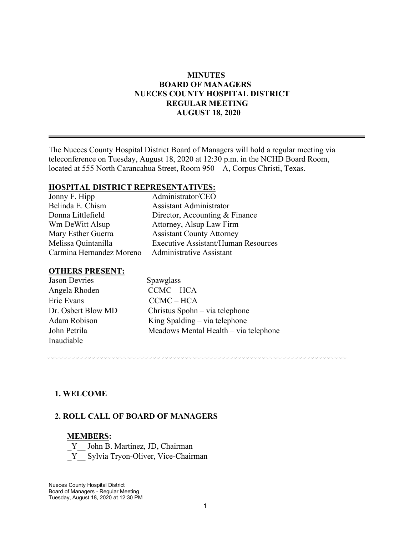## **MINUTES BOARD OF MANAGERS NUECES COUNTY HOSPITAL DISTRICT REGULAR MEETING AUGUST 18, 2020**

The Nueces County Hospital District Board of Managers will hold a regular meeting via teleconference on Tuesday, August 18, 2020 at 12:30 p.m. in the NCHD Board Room, located at 555 North Carancahua Street, Room 950 – A, Corpus Christi, Texas.

#### **HOSPITAL DISTRICT REPRESENTATIVES:**

| Jonny F. Hipp            | Administrator/CEO                          |
|--------------------------|--------------------------------------------|
| Belinda E. Chism         | <b>Assistant Administrator</b>             |
| Donna Littlefield        | Director, Accounting & Finance             |
| Wm DeWitt Alsup          | Attorney, Alsup Law Firm                   |
| Mary Esther Guerra       | <b>Assistant County Attorney</b>           |
| Melissa Quintanilla      | <b>Executive Assistant/Human Resources</b> |
| Carmina Hernandez Moreno | <b>Administrative Assistant</b>            |
|                          |                                            |

#### **OTHERS PRESENT:**

| <b>Jason Devries</b> | Spawglass                             |
|----------------------|---------------------------------------|
| Angela Rhoden        | $CCMC-HCA$                            |
| Eric Evans           | $CCMC-HCA$                            |
| Dr. Osbert Blow MD   | Christus Spohn – via telephone        |
| Adam Robison         | King Spalding – via telephone         |
| John Petrila         | Meadows Mental Health – via telephone |
| Inaudiable           |                                       |

## **1. WELCOME**

## **2. ROLL CALL OF BOARD OF MANAGERS**

#### **MEMBERS:**

Y John B. Martinez, JD, Chairman \_Y\_\_ Sylvia Tryon-Oliver, Vice-Chairman

Nueces County Hospital District Board of Managers - Regular Meeting Tuesday, August 18, 2020 at 12:30 PM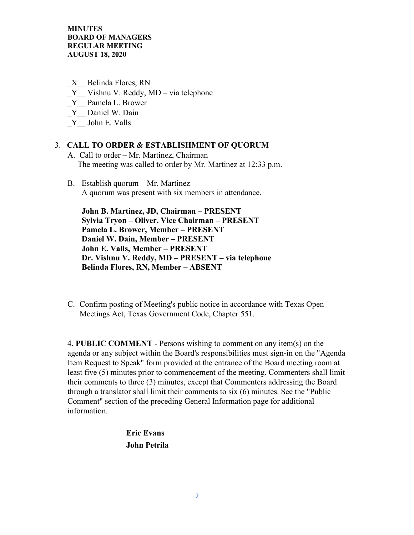\_X\_\_ Belinda Flores, RN

- Y Vishnu V. Reddy, MD via telephone
- \_Y\_\_ Pamela L. Brower
- Y Daniel W. Dain
- \_Y\_\_ John E. Valls

#### 3. **CALL TO ORDER & ESTABLISHMENT OF QUORUM**

- A. Call to order Mr. Martinez, Chairman The meeting was called to order by Mr. Martinez at 12:33 p.m.
- B. Establish quorum Mr. Martinez A quorum was present with six members in attendance.

 **John B. Martinez, JD, Chairman – PRESENT Sylvia Tryon – Oliver, Vice Chairman – PRESENT Pamela L. Brower, Member – PRESENT Daniel W. Dain, Member – PRESENT John E. Valls, Member – PRESENT Dr. Vishnu V. Reddy, MD – PRESENT – via telephone Belinda Flores, RN, Member – ABSENT** 

C. Confirm posting of Meeting's public notice in accordance with Texas Open Meetings Act, Texas Government Code, Chapter 551.

4. **PUBLIC COMMENT** - Persons wishing to comment on any item(s) on the agenda or any subject within the Board's responsibilities must sign-in on the "Agenda Item Request to Speak" form provided at the entrance of the Board meeting room at least five (5) minutes prior to commencement of the meeting. Commenters shall limit their comments to three (3) minutes, except that Commenters addressing the Board through a translator shall limit their comments to six (6) minutes. See the "Public Comment" section of the preceding General Information page for additional information.

> **Eric Evans John Petrila**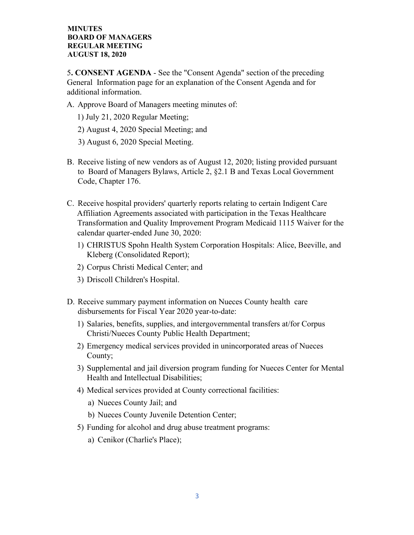5**. CONSENT AGENDA** - See the "Consent Agenda" section of the preceding General Information page for an explanation of the Consent Agenda and for additional information.

- A. Approve Board of Managers meeting minutes of:
	- 1) July 21, 2020 Regular Meeting;
	- 2) August 4, 2020 Special Meeting; and
	- 3) August 6, 2020 Special Meeting.
- B. Receive listing of new vendors as of August 12, 2020; listing provided pursuant to Board of Managers Bylaws, Article 2, §2.1 B and Texas Local Government Code, Chapter 176.
- C. Receive hospital providers' quarterly reports relating to certain Indigent Care Affiliation Agreements associated with participation in the Texas Healthcare Transformation and Quality Improvement Program Medicaid 1115 Waiver for the calendar quarter-ended June 30, 2020:
	- 1) CHRISTUS Spohn Health System Corporation Hospitals: Alice, Beeville, and Kleberg (Consolidated Report);
	- 2) Corpus Christi Medical Center; and
	- 3) Driscoll Children's Hospital.
- D. Receive summary payment information on Nueces County health care disbursements for Fiscal Year 2020 year-to-date:
	- 1) Salaries, benefits, supplies, and intergovernmental transfers at/for Corpus Christi/Nueces County Public Health Department;
	- 2) Emergency medical services provided in unincorporated areas of Nueces County;
	- 3) Supplemental and jail diversion program funding for Nueces Center for Mental Health and Intellectual Disabilities;
	- 4) Medical services provided at County correctional facilities:
		- a) Nueces County Jail; and
		- b) Nueces County Juvenile Detention Center;
	- 5) Funding for alcohol and drug abuse treatment programs:
		- a) Cenikor (Charlie's Place);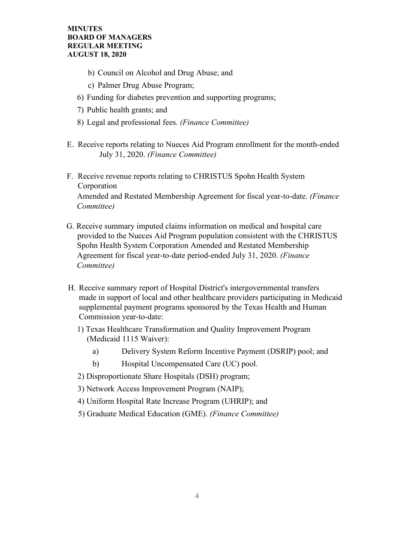- b) Council on Alcohol and Drug Abuse; and
- c) Palmer Drug Abuse Program;
- 6) Funding for diabetes prevention and supporting programs;
- 7) Public health grants; and
- 8) Legal and professional fees. *(Finance Committee)*
- E. Receive reports relating to Nueces Aid Program enrollment for the month-ended July 31, 2020. *(Finance Committee)*
- F. Receive revenue reports relating to CHRISTUS Spohn Health System Corporation Amended and Restated Membership Agreement for fiscal year-to-date. *(Finance Committee)*
- G. Receive summary imputed claims information on medical and hospital care provided to the Nueces Aid Program population consistent with the CHRISTUS Spohn Health System Corporation Amended and Restated Membership Agreement for fiscal year-to-date period-ended July 31, 2020. *(Finance Committee)*
- H. Receive summary report of Hospital District's intergovernmental transfers made in support of local and other healthcare providers participating in Medicaid supplemental payment programs sponsored by the Texas Health and Human Commission year-to-date:
	- 1) Texas Healthcare Transformation and Quality Improvement Program (Medicaid 1115 Waiver):
		- a) Delivery System Reform Incentive Payment (DSRIP) pool; and
		- b) Hospital Uncompensated Care (UC) pool.
	- 2) Disproportionate Share Hospitals (DSH) program;
	- 3) Network Access Improvement Program (NAIP);
	- 4) Uniform Hospital Rate Increase Program (UHRIP); and
	- 5) Graduate Medical Education (GME). *(Finance Committee)*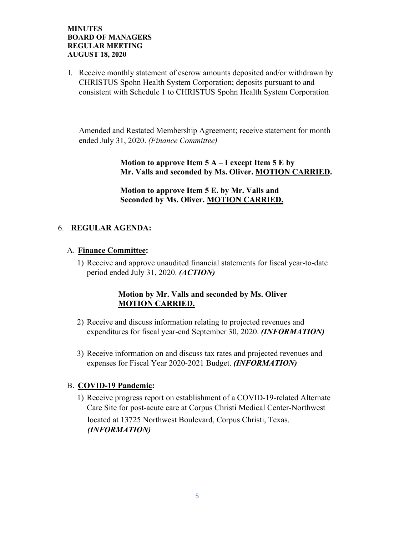I. Receive monthly statement of escrow amounts deposited and/or withdrawn by CHRISTUS Spohn Health System Corporation; deposits pursuant to and consistent with Schedule 1 to CHRISTUS Spohn Health System Corporation

Amended and Restated Membership Agreement; receive statement for month ended July 31, 2020. *(Finance Committee)*

> **Motion to approve Item 5 A – I except Item 5 E by Mr. Valls and seconded by Ms. Oliver. MOTION CARRIED.**

 **Motion to approve Item 5 E. by Mr. Valls and Seconded by Ms. Oliver. MOTION CARRIED.**

## 6. **REGULAR AGENDA:**

## A. **Finance Committee:**

1) Receive and approve unaudited financial statements for fiscal year-to-date period ended July 31, 2020. *(ACTION)* 

## **Motion by Mr. Valls and seconded by Ms. Oliver MOTION CARRIED.**

- 2) Receive and discuss information relating to projected revenues and expenditures for fiscal year-end September 30, 2020. *(INFORMATION)*
- 3) Receive information on and discuss tax rates and projected revenues and expenses for Fiscal Year 2020-2021 Budget. *(INFORMATION)*

## B. **COVID-19 Pandemic:**

1) Receive progress report on establishment of a COVID-19-related Alternate Care Site for post-acute care at Corpus Christi Medical Center-Northwest located at 13725 Northwest Boulevard, Corpus Christi, Texas. *(INFORMATION)*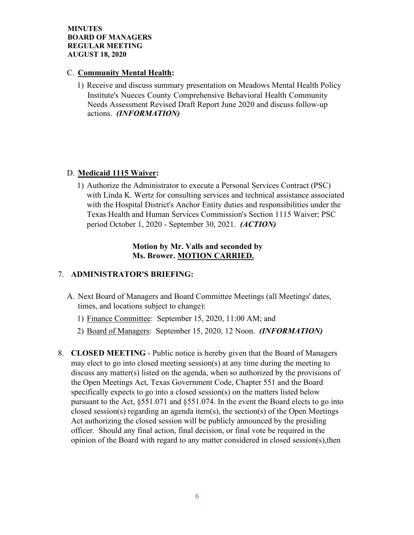## C. **Community Mental Health:**

1) Receive and discuss summary presentation on Meadows Mental Health Policy Institute's Nueces County Comprehensive Behavioral Health Community Needs Assessment Revised Draft Report June 2020 and discuss follow-up actions. *(INFORMATION)*

# D. **Medicaid 1115 Waiver:**

1) Authorize the Administrator to execute a Personal Services Contract (PSC) with Linda K. Wertz for consulting services and technical assistance associated with the Hospital District's Anchor Entity duties and responsibilities under the Texas Health and Human Services Commission's Section 1115 Waiver; PSC period October 1, 2020 - September 30, 2021. *(ACTION)*

## **Motion by Mr. Valls and seconded by Ms. Brower. MOTION CARRIED.**

# 7. **ADMINISTRATOR'S BRIEFING:**

- A. Next Board of Managers and Board Committee Meetings (all Meetings' dates, times, and locations subject to change):
	- 1) Finance Committee: September 15, 2020, 11:00 AM; and
	- 2) Board of Managers: September 15, 2020, 12 Noon. *(INFORMATION)*
- 8. **CLOSED MEETING** Public notice is hereby given that the Board of Managers may elect to go into closed meeting session(s) at any time during the meeting to discuss any matter(s) listed on the agenda, when so authorized by the provisions of the Open Meetings Act, Texas Government Code, Chapter 551 and the Board specifically expects to go into a closed session(s) on the matters listed below pursuant to the Act, §551.071 and §551.074. In the event the Board elects to go into closed session(s) regarding an agenda item(s), the section(s) of the Open Meetings Act authorizing the closed session will be publicly announced by the presiding officer. Should any final action, final decision, or final vote be required in the opinion of the Board with regard to any matter considered in closed session(s),then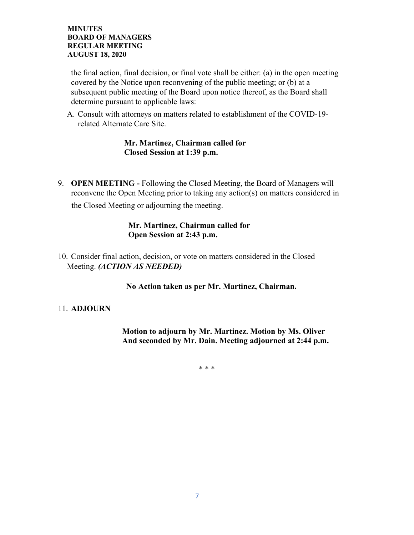the final action, final decision, or final vote shall be either: (a) in the open meeting covered by the Notice upon reconvening of the public meeting; or (b) at a subsequent public meeting of the Board upon notice thereof, as the Board shall determine pursuant to applicable laws:

A. Consult with attorneys on matters related to establishment of the COVID-19 related Alternate Care Site.

## **Mr. Martinez, Chairman called for Closed Session at 1:39 p.m.**

9. **OPEN MEETING -** Following the Closed Meeting, the Board of Managers will reconvene the Open Meeting prior to taking any action(s) on matters considered in

the Closed Meeting or adjourning the meeting.

## **Mr. Martinez, Chairman called for Open Session at 2:43 p.m.**

10. Consider final action, decision, or vote on matters considered in the Closed Meeting. *(ACTION AS NEEDED)*

# **No Action taken as per Mr. Martinez, Chairman.**

## 11. **ADJOURN**

 **Motion to adjourn by Mr. Martinez. Motion by Ms. Oliver And seconded by Mr. Dain. Meeting adjourned at 2:44 p.m.**

\* \* \*